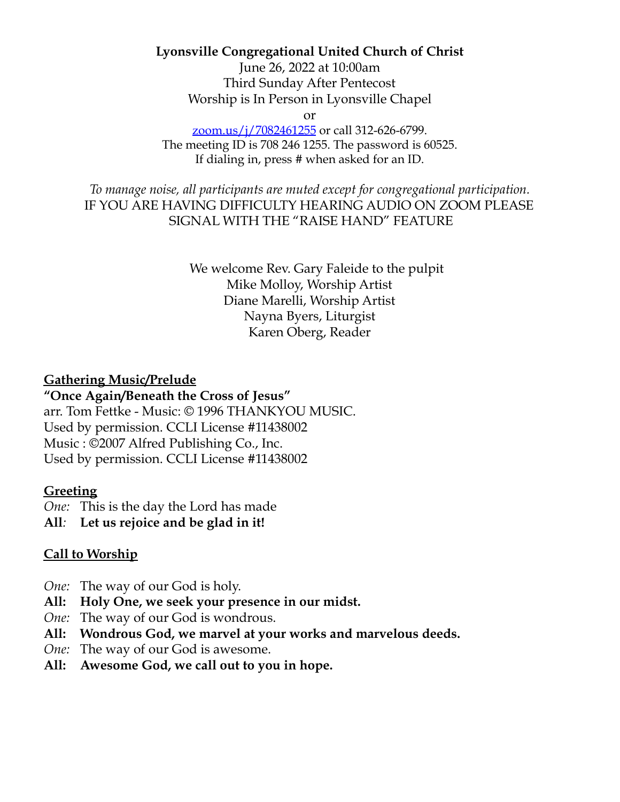### **Lyonsville Congregational United Church of Christ**

June 26, 2022 at 10:00am Third Sunday After Pentecost Worship is In Person in Lyonsville Chapel

or

zoom.us/j/7082461255 or call 312-626-6799. The meeting ID is 708 246 1255. The password is 60525. If dialing in, press # when asked for an ID.

*To manage noise, all participants are muted except for congregational participation.* IF YOU ARE HAVING DIFFICULTY HEARING AUDIO ON ZOOM PLEASE SIGNAL WITH THE "RAISE HAND" FEATURE

> We welcome Rev. Gary Faleide to the pulpit Mike Molloy, Worship Artist Diane Marelli, Worship Artist Nayna Byers, Liturgist Karen Oberg, Reader

# **Gathering Music/Prelude**

**"Once Again/Beneath the Cross of Jesus"** arr. Tom Fettke - Music: © 1996 THANKYOU MUSIC. Used by permission. CCLI License #11438002 Music : ©2007 Alfred Publishing Co., Inc. Used by permission. CCLI License #11438002

#### **Greeting**

*One:* This is the day the Lord has made

**All***:* **Let us rejoice and be glad in it!**

# **Call to Worship**

- *One:* The way of our God is holy.
- **All: Holy One, we seek your presence in our midst.**
- *One:* The way of our God is wondrous.
- **All: Wondrous God, we marvel at your works and marvelous deeds.**
- *One:* The way of our God is awesome.
- **All: Awesome God, we call out to you in hope.**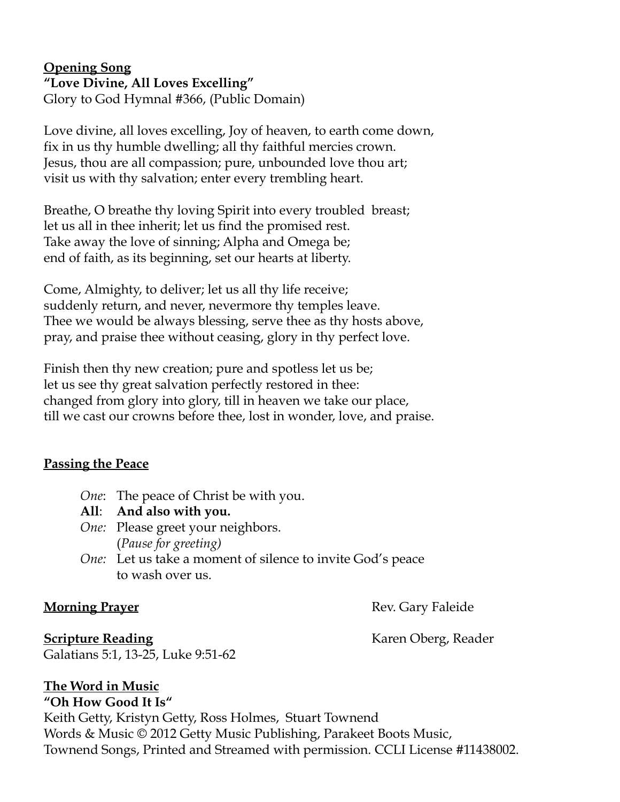### **Opening Song "Love Divine, All Loves Excelling"** Glory to God Hymnal #366, (Public Domain)

Love divine, all loves excelling, Joy of heaven, to earth come down, fix in us thy humble dwelling; all thy faithful mercies crown. Jesus, thou are all compassion; pure, unbounded love thou art; visit us with thy salvation; enter every trembling heart.

Breathe, O breathe thy loving Spirit into every troubled breast; let us all in thee inherit; let us find the promised rest. Take away the love of sinning; Alpha and Omega be; end of faith, as its beginning, set our hearts at liberty.

Come, Almighty, to deliver; let us all thy life receive; suddenly return, and never, nevermore thy temples leave. Thee we would be always blessing, serve thee as thy hosts above, pray, and praise thee without ceasing, glory in thy perfect love.

Finish then thy new creation; pure and spotless let us be; let us see thy great salvation perfectly restored in thee: changed from glory into glory, till in heaven we take our place, till we cast our crowns before thee, lost in wonder, love, and praise.

# **Passing the Peace**

- *One*: The peace of Christ be with you.
- **All**: **And also with you.**
- *One:* Please greet your neighbors. (*Pause for greeting)*
- *One:* Let us take a moment of silence to invite God's peace to wash over us.

**Morning Prayer** Rev. Gary Faleide

Galatians 5:1, 13-25, Luke 9:51-62

# **The Word in Music**

**"Oh How Good It Is"**

Keith Getty, Kristyn Getty, Ross Holmes, Stuart Townend Words & Music © 2012 Getty Music Publishing, Parakeet Boots Music, Townend Songs, Printed and Streamed with permission. CCLI License #11438002.

**Scripture Reading Karen Oberg, Reader** Karen Oberg, Reader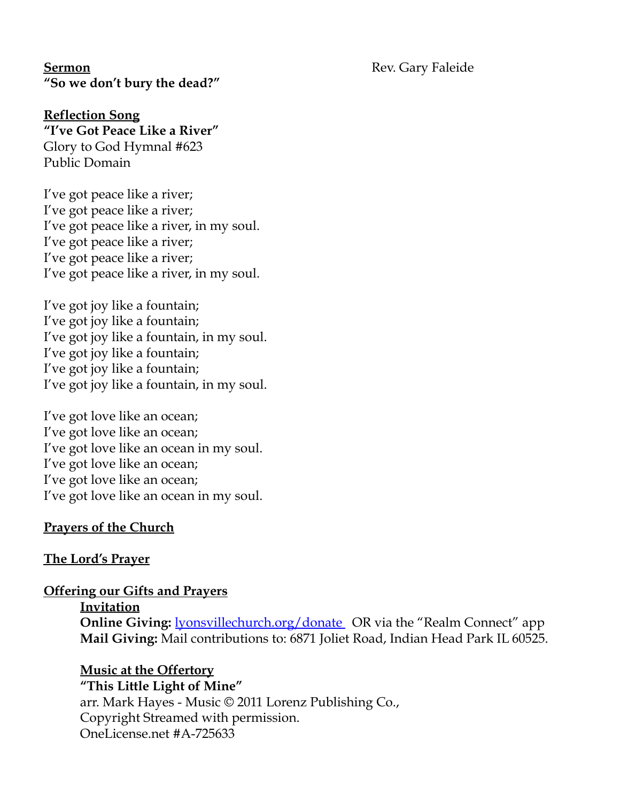**Sermon** Rev. Gary Faleide **"So we don't bury the dead?"**

### **Reflection Song**

**"I've Got Peace Like a River"** Glory to God Hymnal #623 Public Domain

I've got peace like a river; I've got peace like a river; I've got peace like a river, in my soul. I've got peace like a river; I've got peace like a river; I've got peace like a river, in my soul.

I've got joy like a fountain; I've got joy like a fountain; I've got joy like a fountain, in my soul. I've got joy like a fountain; I've got joy like a fountain; I've got joy like a fountain, in my soul.

I've got love like an ocean; I've got love like an ocean; I've got love like an ocean in my soul. I've got love like an ocean; I've got love like an ocean; I've got love like an ocean in my soul.

#### **Prayers of the Church**

# **The Lord's Prayer**

#### **Offering our Gifts and Prayers**

#### **Invitation**

**Online Giving: lyonsvillechurch.org/donate** OR via the "Realm Connect" app **Mail Giving:** Mail contributions to: 6871 Joliet Road, Indian Head Park IL 60525.

**Music at the Offertory "This Little Light of Mine"** arr. Mark Hayes - Music © 2011 Lorenz Publishing Co., Copyright Streamed with permission. OneLicense.net #A-725633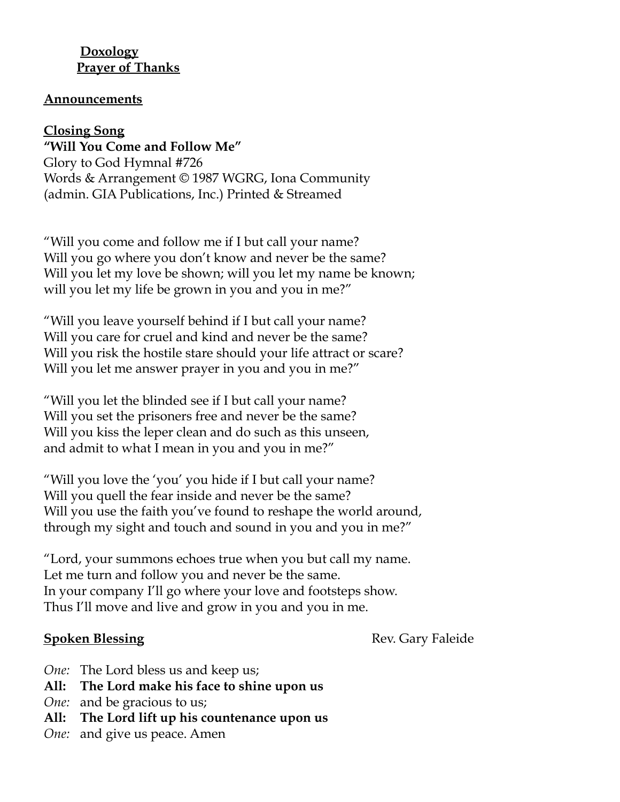#### **Doxology Prayer of Thanks**

### **Announcements**

#### **Closing Song "Will You Come and Follow Me"**

Glory to God Hymnal #726 Words & Arrangement © 1987 WGRG, Iona Community (admin. GIA Publications, Inc.) Printed & Streamed

"Will you come and follow me if I but call your name? Will you go where you don't know and never be the same? Will you let my love be shown; will you let my name be known; will you let my life be grown in you and you in me?"

"Will you leave yourself behind if I but call your name? Will you care for cruel and kind and never be the same? Will you risk the hostile stare should your life attract or scare? Will you let me answer prayer in you and you in me?"

"Will you let the blinded see if I but call your name? Will you set the prisoners free and never be the same? Will you kiss the leper clean and do such as this unseen, and admit to what I mean in you and you in me?"

"Will you love the 'you' you hide if I but call your name? Will you quell the fear inside and never be the same? Will you use the faith you've found to reshape the world around, through my sight and touch and sound in you and you in me?"

"Lord, your summons echoes true when you but call my name. Let me turn and follow you and never be the same. In your company I'll go where your love and footsteps show. Thus I'll move and live and grow in you and you in me.

**Spoken Blessing** Rev. Gary Faleide

*One:* The Lord bless us and keep us;

- **All: The Lord make his face to shine upon us**
- *One:* and be gracious to us;
- **All: The Lord lift up his countenance upon us**
- *One:* and give us peace. Amen